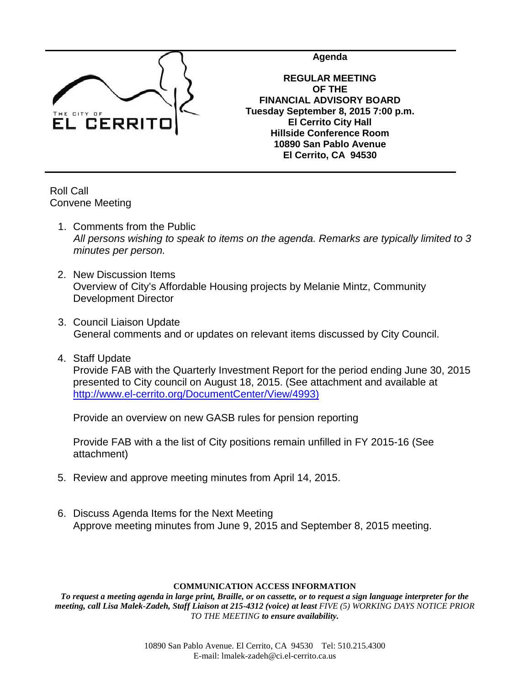

**Agenda**

**REGULAR MEETING OF THE FINANCIAL ADVISORY BOARD Tuesday September 8, 2015 7:00 p.m. El Cerrito City Hall Hillside Conference Room 10890 San Pablo Avenue El Cerrito, CA 94530**

Roll Call Convene Meeting

- 1. Comments from the Public *All persons wishing to speak to items on the agenda. Remarks are typically limited to 3 minutes per person.*
- 2. New Discussion Items Overview of City's Affordable Housing projects by Melanie Mintz, Community Development Director
- 3. Council Liaison Update General comments and or updates on relevant items discussed by City Council.
- 4. Staff Update Provide FAB with the Quarterly Investment Report for the period ending June 30, 2015 presented to City council on August 18, 2015. (See attachment and available at [http://www.el-cerrito.org/DocumentCenter/View/4993\)](http://www.el-cerrito.org/DocumentCenter/View/4993)

Provide an overview on new GASB rules for pension reporting

Provide FAB with a the list of City positions remain unfilled in FY 2015-16 (See attachment)

- 5. Review and approve meeting minutes from April 14, 2015.
- 6. Discuss Agenda Items for the Next Meeting Approve meeting minutes from June 9, 2015 and September 8, 2015 meeting.

#### **COMMUNICATION ACCESS INFORMATION**

*To request a meeting agenda in large print, Braille, or on cassette, or to request a sign language interpreter for the meeting, call Lisa Malek-Zadeh, Staff Liaison at 215-4312 (voice) at least FIVE (5) WORKING DAYS NOTICE PRIOR TO THE MEETING to ensure availability.*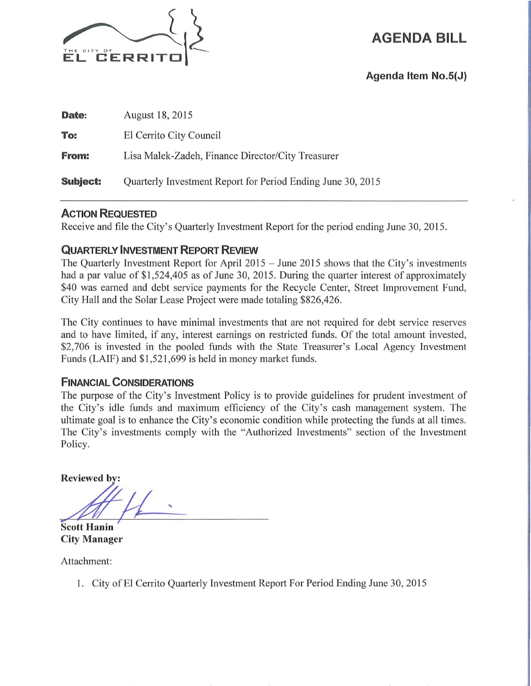

**AGENDA BILL** 

**Agenda Item No.S(J)** 

| Date:           | August 18, 2015                                             |  |  |  |  |
|-----------------|-------------------------------------------------------------|--|--|--|--|
| To:             | El Cerrito City Council                                     |  |  |  |  |
| <b>From:</b>    | Lisa Malek-Zadeh, Finance Director/City Treasurer           |  |  |  |  |
| <b>Subject:</b> | Quarterly Investment Report for Period Ending June 30, 2015 |  |  |  |  |

### **ACTION REQUESTED**

Receive and file the City's Quarterly Investment Report for the period ending June 30, 2015.

# **QUARTERLY INVESTMENT REPORT REVIEW**

The Quarterly Investment Report for April 2015 - June 2015 shows that the City's investments had a par value of \$1,524,405 as of June 30, 2015. During the quarter interest of approximately \$40 was earned and debt service payments for the Recycle Center, Street Improvement Fund, City Hall and the Solar Lease Project were made totaling \$826,426.

The City continues to have minimal investments that are not required for debt service reserves and to have limited, if any, interest earnings on restricted funds. Of the total amount invested, \$2,706 is invested in the pooled funds with the State Treasurer's Local Agency Investment Funds (LAIF) and \$1 ,521 ,699 is held in money market funds.

## **FINANCIAL CONSIDERATIONS**

The purpose of the City's Investment Policy is to provide guidelines for prudent investment of the City's idle funds and maximum efficiency of the City's cash management system. The ultimate goal is to enhance the City's economic condition while protecting the funds at all times. The City's investments comply with the "Authorized Investments" section of the Investment Policy.

**Reviewed by:** 

**Scott Hanin City Manager** 

Attachment:

1. City of El Cerrito Quarterly Investment Report For Period Ending June 30, 2015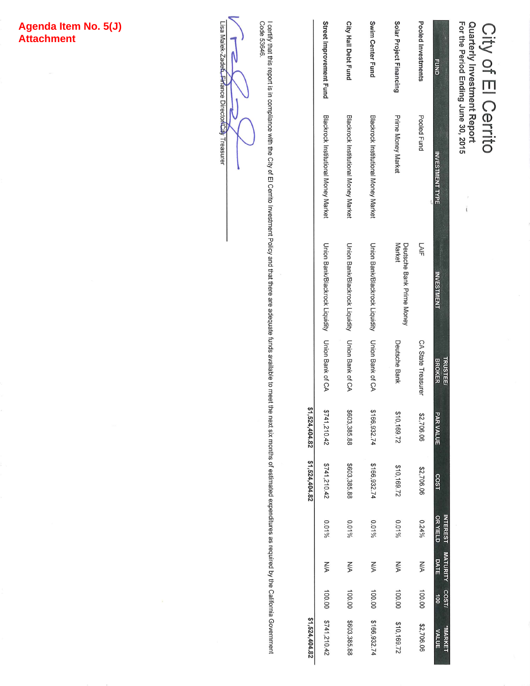# Agenda Item No. 5(J)<br>Attachment

Quarterly Investment Report<br>For the Period Ending June 30, 2015 Cerrito<br>
Cerrito

 $\dot{\mathbf{i}}$ 

| \$1,524,404.82                 |        |                                              |          | $51,524,404.82$ \$1,524,404.82 |                  |                                  |                                                 |                                      |                         |
|--------------------------------|--------|----------------------------------------------|----------|--------------------------------|------------------|----------------------------------|-------------------------------------------------|--------------------------------------|-------------------------|
|                                |        |                                              |          |                                |                  |                                  |                                                 |                                      |                         |
| 100.00 \$741,210.42            |        | <b>N/A</b>                                   | $0.01\%$ | 2741,210.42                    | \$741,210.42     |                                  | Union Bank/Blackrock Liquidity Union Bank of CA | Blackrock Institutional Money Market | Street Improvement Fund |
| \$603,385.88                   | 100.00 | NA                                           | $0.01\%$ | \$603,385.88                   | \$603,385.88     |                                  | Union Bank/Blackrock Liquidity Union Bank of CA | Blackrock Institutional Money Market | City Hall Debt Fund     |
| \$166,932.74                   | 100.00 | NA                                           | $0.01\%$ | \$166,932.74                   | \$166,932.74     |                                  | Union Bank/Blackrock Liquidity Union Bank of CA | Blackrock Institutional Money Market | Swim Center Fund        |
| \$10,169.72                    | 100.00 | NA                                           | $0.01\%$ | \$10,169.72                    | \$10,169.72      | Deutsche Bank                    | Deutsche Bank Prime Money<br>Market             | Prime Money Market                   | Solar Project Financing |
| \$2,706.06                     | 100.00 | <b>N/A</b>                                   | $0.24\%$ | \$2,706.06                     | \$2,706.06       | CA State Treasurer               | LAIF                                            | Pooled Fund                          | Pooled Investments      |
| <b>"MARKET</b><br><b>VALUE</b> | à      | <b>NTEREST MATURITY COST/</b><br><b>DATE</b> | OR YIELD | COST                           | <b>PAR VALUE</b> | <b>BROKER</b><br><b>TRUSTEE/</b> | <b>INVESTMENT</b>                               | <b>NVESTMENT TYPE</b>                | <b>FUND</b>             |

l certify that this report is in compliance with the City of El Cerrito Investment Policy and that there are adequate funds available to meet the next six months of estimated expenditures as required by the California Gove

N N

Lisa Malek-Zade<del>ń, Fir</del>fance Director<mark>/Cit</mark>y Treasurer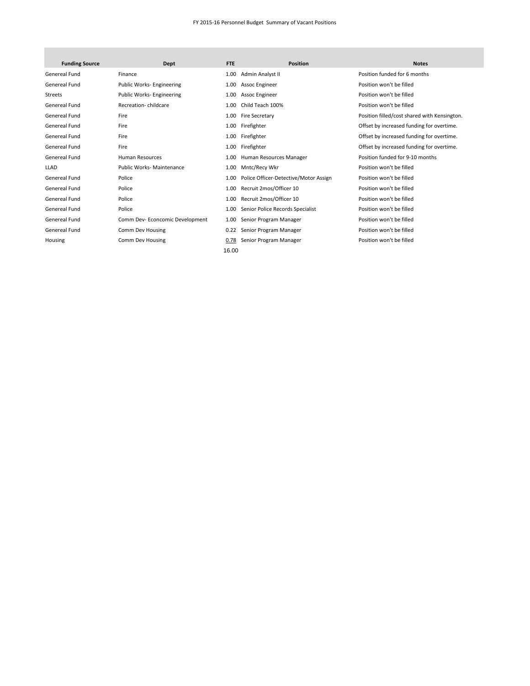#### FY 2015-16 Personnel Budget Summary of Vacant Positions

| <b>Funding Source</b> | Dept                            | <b>FTE</b> | <b>Position</b>                       | <b>Notes</b>                                 |
|-----------------------|---------------------------------|------------|---------------------------------------|----------------------------------------------|
| Genereal Fund         | Finance                         | 1.00       | Admin Analyst II                      | Position funded for 6 months                 |
| Genereal Fund         | Public Works-Engineering        | 1.00       | Assoc Engineer                        | Position won't be filled                     |
| <b>Streets</b>        | Public Works- Engineering       | 1.00       | Assoc Engineer                        | Position won't be filled                     |
| Genereal Fund         | Recreation-childcare            | 1.00       | Child Teach 100%                      | Position won't be filled                     |
| Genereal Fund         | Fire                            | 1.00       | Fire Secretary                        | Position filled/cost shared with Kensington. |
| Genereal Fund         | Fire                            | 1.00       | Firefighter                           | Offset by increased funding for overtime.    |
| Genereal Fund         | Fire                            | 1.00       | Firefighter                           | Offset by increased funding for overtime.    |
| Genereal Fund         | Fire                            | 1.00       | Firefighter                           | Offset by increased funding for overtime.    |
| Genereal Fund         | <b>Human Resources</b>          | 1.00       | Human Resources Manager               | Position funded for 9-10 months              |
| <b>LLAD</b>           | <b>Public Works-Maintenance</b> | 1.00       | Mntc/Recy Wkr                         | Position won't be filled                     |
| Genereal Fund         | Police                          | 1.00       | Police Officer-Detective/Motor Assign | Position won't be filled                     |
| Genereal Fund         | Police                          | 1.00       | Recruit 2mos/Officer 10               | Position won't be filled                     |
| Genereal Fund         | Police                          | 1.00       | Recruit 2mos/Officer 10               | Position won't be filled                     |
| Genereal Fund         | Police                          | 1.00       | Senior Police Records Specialist      | Position won't be filled                     |
| Genereal Fund         | Comm Dev-Econcomic Development  | 1.00       | Senior Program Manager                | Position won't be filled                     |
| Genereal Fund         | Comm Dev Housing                | 0.22       | Senior Program Manager                | Position won't be filled                     |
| Housing               | Comm Dev Housing                | 0.78       | Senior Program Manager                | Position won't be filled                     |
|                       |                                 | 16.00      |                                       |                                              |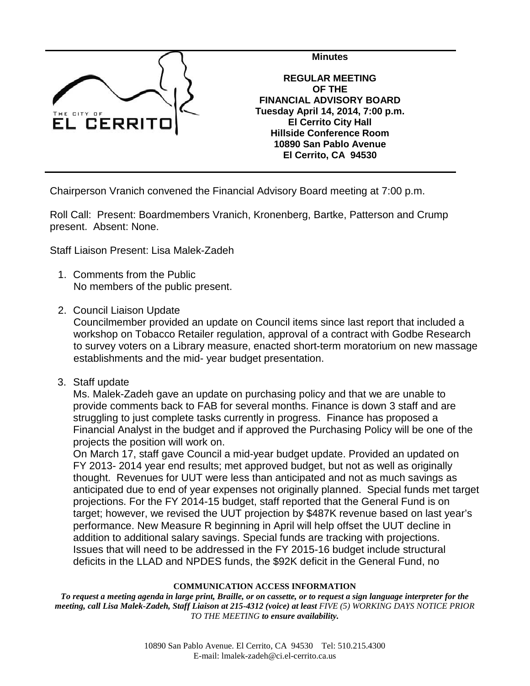

**Minutes REGULAR MEETING OF THE FINANCIAL ADVISORY BOARD Tuesday April 14, 2014, 7:00 p.m. El Cerrito City Hall Hillside Conference Room 10890 San Pablo Avenue El Cerrito, CA 94530**

Chairperson Vranich convened the Financial Advisory Board meeting at 7:00 p.m.

Roll Call: Present: Boardmembers Vranich, Kronenberg, Bartke, Patterson and Crump present. Absent: None.

Staff Liaison Present: Lisa Malek-Zadeh

- 1. Comments from the Public No members of the public present.
- 2. Council Liaison Update

Councilmember provided an update on Council items since last report that included a workshop on Tobacco Retailer regulation, approval of a contract with Godbe Research to survey voters on a Library measure, enacted short-term moratorium on new massage establishments and the mid- year budget presentation.

3. Staff update

Ms. Malek-Zadeh gave an update on purchasing policy and that we are unable to provide comments back to FAB for several months. Finance is down 3 staff and are struggling to just complete tasks currently in progress. Finance has proposed a Financial Analyst in the budget and if approved the Purchasing Policy will be one of the projects the position will work on.

On March 17, staff gave Council a mid-year budget update. Provided an updated on FY 2013- 2014 year end results; met approved budget, but not as well as originally thought. Revenues for UUT were less than anticipated and not as much savings as anticipated due to end of year expenses not originally planned. Special funds met target projections. For the FY 2014-15 budget, staff reported that the General Fund is on target; however, we revised the UUT projection by \$487K revenue based on last year's performance. New Measure R beginning in April will help offset the UUT decline in addition to additional salary savings. Special funds are tracking with projections. Issues that will need to be addressed in the FY 2015-16 budget include structural deficits in the LLAD and NPDES funds, the \$92K deficit in the General Fund, no

#### **COMMUNICATION ACCESS INFORMATION**

*To request a meeting agenda in large print, Braille, or on cassette, or to request a sign language interpreter for the meeting, call Lisa Malek-Zadeh, Staff Liaison at 215-4312 (voice) at least FIVE (5) WORKING DAYS NOTICE PRIOR TO THE MEETING to ensure availability.*